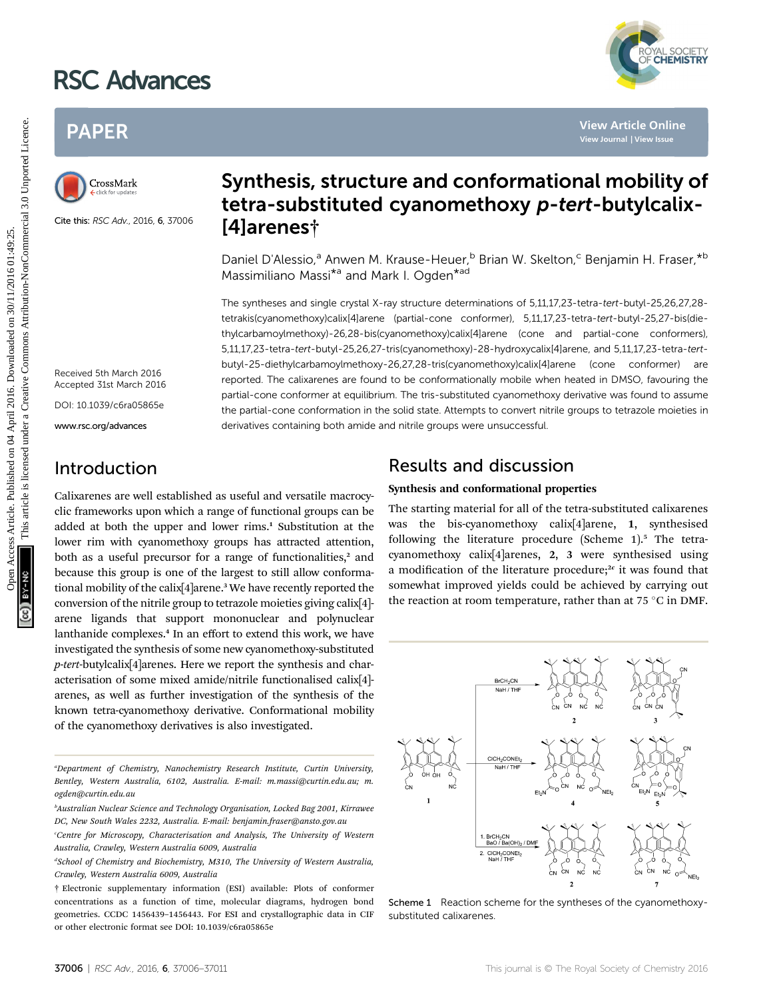# RSC Advances



## PAPER



Cite this: RSC Adv., 2016, 6, 37006

## Synthesis, structure and conformational mobility of tetra-substituted cyanomethoxy p-tert-butylcalix- [4]arenes†

Daniel D'Alessio,<sup>a</sup> Anwen M. Krause-Heuer,<sup>b</sup> Brian W. Skelton,<sup>c</sup> Benjamin H. Fraser,\*b Massimiliano Massi<sup>\*a</sup> and Mark I. Ogden<sup>\*ad</sup>

The syntheses and single crystal X-ray structure determinations of 5,11,17,23-tetra-tert-butyl-25,26,27,28 tetrakis(cyanomethoxy)calix[4]arene (partial-cone conformer), 5,11,17,23-tetra-tert-butyl-25,27-bis(diethylcarbamoylmethoxy)-26,28-bis(cyanomethoxy)calix[4]arene (cone and partial-cone conformers), 5,11,17,23-tetra-tert-butyl-25,26,27-tris(cyanomethoxy)-28-hydroxycalix[4]arene, and 5,11,17,23-tetra-tertbutyl-25-diethylcarbamoylmethoxy-26,27,28-tris(cyanomethoxy)calix[4]arene (cone conformer) are reported. The calixarenes are found to be conformationally mobile when heated in DMSO, favouring the partial-cone conformer at equilibrium. The tris-substituted cyanomethoxy derivative was found to assume the partial-cone conformation in the solid state. Attempts to convert nitrile groups to tetrazole moieties in derivatives containing both amide and nitrile groups were unsuccessful. PAPER<br>
Synthesis, structure and conformational mobility<br>
Creases the set of the set of the set of the set of the set of the set of the set of the set of the set of the set of the set of the set of the set of the set of th

### Received 5th March 2016 Accepted 31st March 2016 DOI: 10.1039/c6ra05865e

www.rsc.org/advances

### Introduction

Calixarenes are well established as useful and versatile macrocyclic frameworks upon which a range of functional groups can be added at both the upper and lower rims.<sup>1</sup> Substitution at the lower rim with cyanomethoxy groups has attracted attention, both as a useful precursor for a range of functionalities, $2$  and because this group is one of the largest to still allow conformational mobility of the calix<sup>[4]</sup>arene.<sup>3</sup> We have recently reported the conversion of the nitrile group to tetrazole moieties giving calix[4] arene ligands that support mononuclear and polynuclear lanthanide complexes.<sup>4</sup> In an effort to extend this work, we have investigated the synthesis of some new cyanomethoxy-substituted p-tert-butylcalix[4]arenes. Here we report the synthesis and characterisation of some mixed amide/nitrile functionalised calix[4] arenes, as well as further investigation of the synthesis of the known tetra-cyanomethoxy derivative. Conformational mobility of the cyanomethoxy derivatives is also investigated.

### Results and discussion

#### Synthesis and conformational properties

The starting material for all of the tetra-substituted calixarenes was the bis-cyanomethoxy calix[4]arene, 1, synthesised following the literature procedure (Scheme 1).<sup>5</sup> The tetracyanomethoxy calix[4]arenes, 2, 3 were synthesised using a modification of the literature procedure; $x$  it was found that somewhat improved yields could be achieved by carrying out the reaction at room temperature, rather than at 75  $\degree$ C in DMF.



Scheme 1 Reaction scheme for the syntheses of the cyanomethoxysubstituted calixarenes.

a Department of Chemistry, Nanochemistry Research Institute, Curtin University, Bentley, Western Australia, 6102, Australia. E-mail: m.massi@curtin.edu.au; m. ogden@curtin.edu.au

b Australian Nuclear Science and Technology Organisation, Locked Bag 2001, Kirrawee DC, New South Wales 2232, Australia. E-mail: benjamin.fraser@ansto.gov.au

c Centre for Microscopy, Characterisation and Analysis, The University of Western Australia, Crawley, Western Australia 6009, Australia

<sup>&</sup>lt;sup>d</sup>School of Chemistry and Biochemistry, M310, The University of Western Australia, Crawley, Western Australia 6009, Australia

<sup>†</sup> Electronic supplementary information (ESI) available: Plots of conformer concentrations as a function of time, molecular diagrams, hydrogen bond geometries. CCDC 1456439–1456443. For ESI and crystallographic data in CIF or other electronic format see DOI: 10.1039/c6ra05865e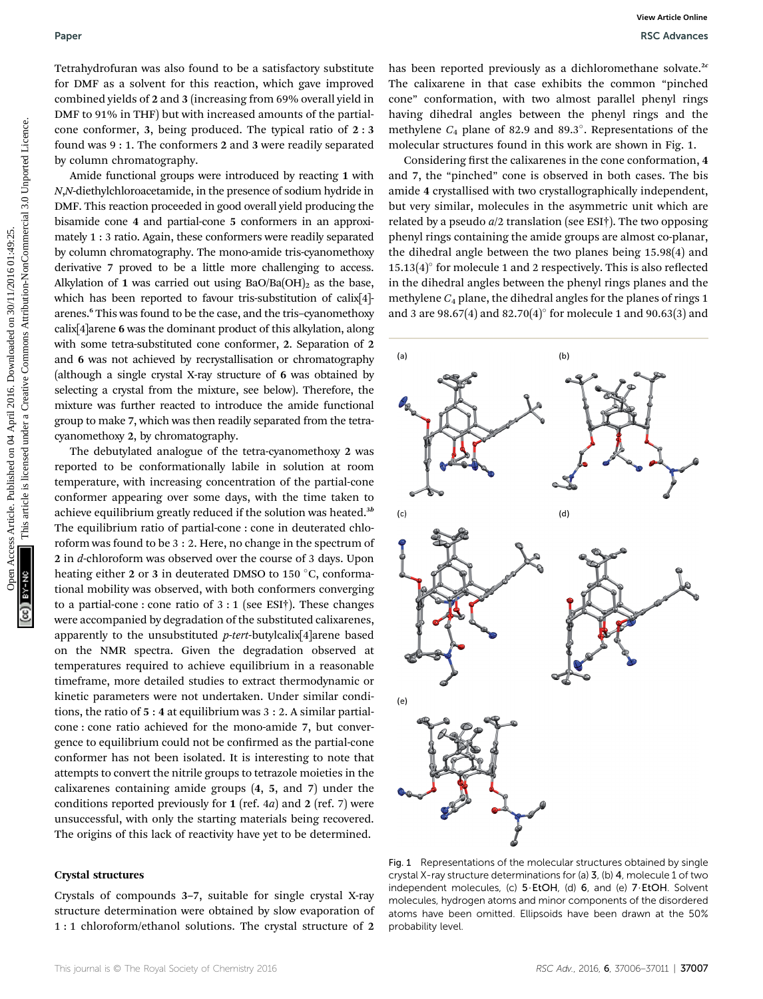Tetrahydrofuran was also found to be a satisfactory substitute for DMF as a solvent for this reaction, which gave improved combined yields of 2 and 3 (increasing from 69% overall yield in DMF to 91% in THF) but with increased amounts of the partialcone conformer, 3, being produced. The typical ratio of 2 : 3 found was 9 : 1. The conformers 2 and 3 were readily separated by column chromatography.

Amide functional groups were introduced by reacting 1 with N,N-diethylchloroacetamide, in the presence of sodium hydride in DMF. This reaction proceeded in good overall yield producing the bisamide cone 4 and partial-cone 5 conformers in an approximately 1 : 3 ratio. Again, these conformers were readily separated by column chromatography. The mono-amide tris-cyanomethoxy derivative 7 proved to be a little more challenging to access. Alkylation of 1 was carried out using  $BaO/Ba(OH)$ <sub>2</sub> as the base, which has been reported to favour tris-substitution of calix[4] arenes.<sup>6</sup> This was found to be the case, and the tris–cyanomethoxy calix[4]arene 6 was the dominant product of this alkylation, along with some tetra-substituted cone conformer, 2. Separation of 2 and 6 was not achieved by recrystallisation or chromatography (although a single crystal X-ray structure of 6 was obtained by selecting a crystal from the mixture, see below). Therefore, the mixture was further reacted to introduce the amide functional group to make 7, which was then readily separated from the tetracyanomethoxy 2, by chromatography.

The debutylated analogue of the tetra-cyanomethoxy 2 was reported to be conformationally labile in solution at room temperature, with increasing concentration of the partial-cone conformer appearing over some days, with the time taken to achieve equilibrium greatly reduced if the solution was heated.<sup>3b</sup> The equilibrium ratio of partial-cone : cone in deuterated chloroform was found to be 3 : 2. Here, no change in the spectrum of 2 in d-chloroform was observed over the course of 3 days. Upon heating either 2 or 3 in deuterated DMSO to 150 °C, conformational mobility was observed, with both conformers converging to a partial-cone : cone ratio of  $3:1$  (see ESI†). These changes were accompanied by degradation of the substituted calixarenes, apparently to the unsubstituted  $p$ -tert-butylcalix[4]arene based on the NMR spectra. Given the degradation observed at temperatures required to achieve equilibrium in a reasonable timeframe, more detailed studies to extract thermodynamic or kinetic parameters were not undertaken. Under similar conditions, the ratio of 5 : 4 at equilibrium was 3 : 2. A similar partialcone : cone ratio achieved for the mono-amide 7, but convergence to equilibrium could not be confirmed as the partial-cone conformer has not been isolated. It is interesting to note that attempts to convert the nitrile groups to tetrazole moieties in the calixarenes containing amide groups (4, 5, and 7) under the conditions reported previously for  $1$  (ref. 4*a*) and  $2$  (ref. 7) were unsuccessful, with only the starting materials being recovered. The origins of this lack of reactivity have yet to be determined.

#### Crystal structures

Crystals of compounds 3–7, suitable for single crystal X-ray structure determination were obtained by slow evaporation of 1 : 1 chloroform/ethanol solutions. The crystal structure of 2

has been reported previously as a dichloromethane solvate.<sup>2c</sup> The calixarene in that case exhibits the common "pinched cone" conformation, with two almost parallel phenyl rings having dihedral angles between the phenyl rings and the methylene  $C_4$  plane of 82.9 and 89.3°. Representations of the molecular structures found in this work are shown in Fig. 1.

Considering first the calixarenes in the cone conformation, 4 and 7, the "pinched" cone is observed in both cases. The bis amide 4 crystallised with two crystallographically independent, but very similar, molecules in the asymmetric unit which are related by a pseudo  $a/2$  translation (see ESI<sup>†</sup>). The two opposing phenyl rings containing the amide groups are almost co-planar, the dihedral angle between the two planes being 15.98(4) and  $15.13(4)^\circ$  for molecule 1 and 2 respectively. This is also reflected in the dihedral angles between the phenyl rings planes and the methylene  $C_4$  plane, the dihedral angles for the planes of rings 1 and 3 are 98.67(4) and 82.70(4) $^{\circ}$  for molecule 1 and 90.63(3) and



Fig. 1 Representations of the molecular structures obtained by single crystal X-ray structure determinations for (a) 3, (b) 4, molecule 1 of two independent molecules, (c)  $5 \cdot E$ tOH, (d) 6, and (e)  $7 \cdot E$ tOH. Solvent molecules, hydrogen atoms and minor components of the disordered atoms have been omitted. Ellipsoids have been drawn at the 50% probability level.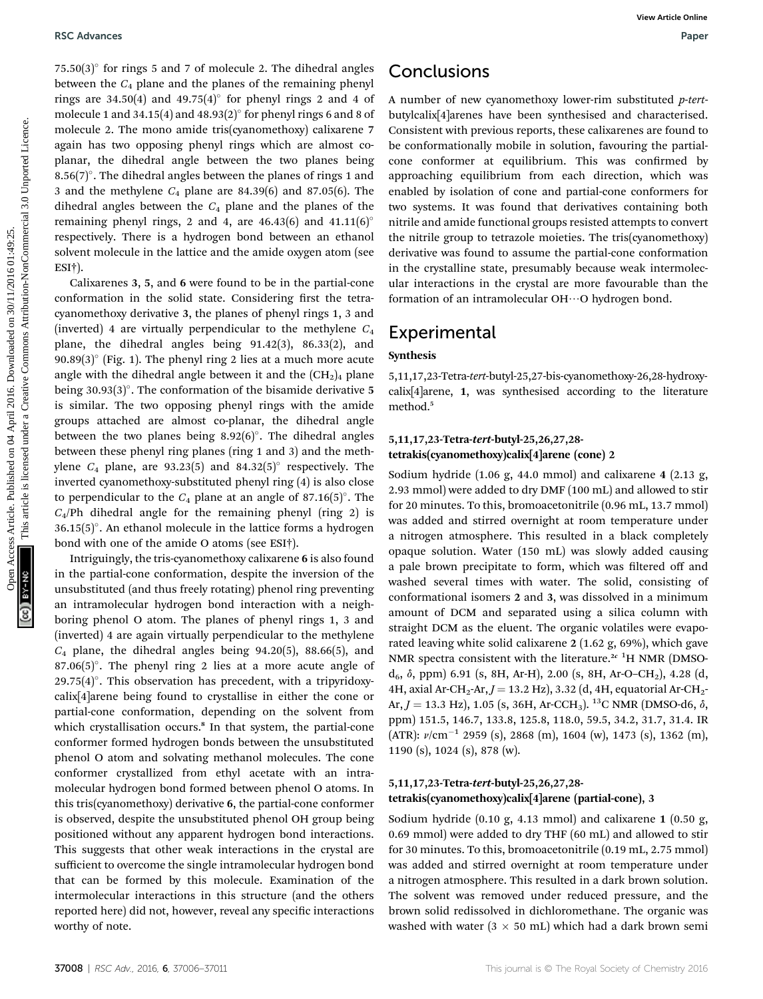$75.50(3)$ ° for rings 5 and 7 of molecule 2. The dihedral angles between the  $C_4$  plane and the planes of the remaining phenyl rings are  $34.50(4)$  and  $49.75(4)$ ° for phenyl rings 2 and 4 of molecule 1 and 34.15(4) and 48.93(2) $\degree$  for phenyl rings 6 and 8 of molecule 2. The mono amide tris(cyanomethoxy) calixarene 7 again has two opposing phenyl rings which are almost coplanar, the dihedral angle between the two planes being 8.56(7)°. The dihedral angles between the planes of rings 1 and 3 and the methylene  $C_4$  plane are 84.39(6) and 87.05(6). The dihedral angles between the  $C_4$  plane and the planes of the remaining phenyl rings, 2 and 4, are  $46.43(6)$  and  $41.11(6)^\circ$ respectively. There is a hydrogen bond between an ethanol solvent molecule in the lattice and the amide oxygen atom (see ESI†).

Calixarenes 3, 5, and 6 were found to be in the partial-cone conformation in the solid state. Considering first the tetracyanomethoxy derivative 3, the planes of phenyl rings 1, 3 and (inverted) 4 are virtually perpendicular to the methylene  $C_4$ plane, the dihedral angles being 91.42(3), 86.33(2), and 90.89(3) $^{\circ}$  (Fig. 1). The phenyl ring 2 lies at a much more acute angle with the dihedral angle between it and the  $(CH<sub>2</sub>)<sub>4</sub>$  plane being  $30.93(3)^\circ$ . The conformation of the bisamide derivative 5 is similar. The two opposing phenyl rings with the amide groups attached are almost co-planar, the dihedral angle between the two planes being  $8.92(6)^\circ$ . The dihedral angles between these phenyl ring planes (ring 1 and 3) and the methylene  $C_4$  plane, are 93.23(5) and 84.32(5)° respectively. The inverted cyanomethoxy-substituted phenyl ring (4) is also close to perpendicular to the  $C_4$  plane at an angle of 87.16(5)°. The  $C_4$ /Ph dihedral angle for the remaining phenyl (ring 2) is  $36.15(5)$ °. An ethanol molecule in the lattice forms a hydrogen bond with one of the amide O atoms (see ESI†). PSC Advances Article on 04 April 2018. The dihedral angles **Conclusions** Between the capital angle of the remaining phenosis Article. The article is license and the phase of the remaining phenosis Commonline are been spac

Intriguingly, the tris-cyanomethoxy calixarene 6 is also found in the partial-cone conformation, despite the inversion of the unsubstituted (and thus freely rotating) phenol ring preventing an intramolecular hydrogen bond interaction with a neighboring phenol O atom. The planes of phenyl rings 1, 3 and (inverted) 4 are again virtually perpendicular to the methylene  $C_4$  plane, the dihedral angles being 94.20(5), 88.66(5), and 87.06 $(5)$ °. The phenyl ring 2 lies at a more acute angle of  $29.75(4)^\circ$ . This observation has precedent, with a tripyridoxycalix[4]arene being found to crystallise in either the cone or partial-cone conformation, depending on the solvent from which crystallisation occurs.<sup>8</sup> In that system, the partial-cone conformer formed hydrogen bonds between the unsubstituted phenol O atom and solvating methanol molecules. The cone conformer crystallized from ethyl acetate with an intramolecular hydrogen bond formed between phenol O atoms. In this tris(cyanomethoxy) derivative 6, the partial-cone conformer is observed, despite the unsubstituted phenol OH group being positioned without any apparent hydrogen bond interactions. This suggests that other weak interactions in the crystal are sufficient to overcome the single intramolecular hydrogen bond that can be formed by this molecule. Examination of the intermolecular interactions in this structure (and the others reported here) did not, however, reveal any specific interactions worthy of note.

### Conclusions

A number of new cyanomethoxy lower-rim substituted p-tertbutylcalix[4]arenes have been synthesised and characterised. Consistent with previous reports, these calixarenes are found to be conformationally mobile in solution, favouring the partialcone conformer at equilibrium. This was confirmed by approaching equilibrium from each direction, which was enabled by isolation of cone and partial-cone conformers for two systems. It was found that derivatives containing both nitrile and amide functional groups resisted attempts to convert the nitrile group to tetrazole moieties. The tris(cyanomethoxy) derivative was found to assume the partial-cone conformation in the crystalline state, presumably because weak intermolecular interactions in the crystal are more favourable than the formation of an intramolecular  $OH\cdots$ O hydrogen bond.

### Experimental

#### Synthesis

5,11,17,23-Tetra-tert-butyl-25,27-bis-cyanomethoxy-26,28-hydroxycalix[4]arene, 1, was synthesised according to the literature method.<sup>5</sup>

#### 5,11,17,23-Tetra-tert-butyl-25,26,27,28 tetrakis(cyanomethoxy)calix[4]arene (cone) 2

Sodium hydride (1.06 g, 44.0 mmol) and calixarene 4 (2.13 g, 2.93 mmol) were added to dry DMF (100 mL) and allowed to stir for 20 minutes. To this, bromoacetonitrile (0.96 mL, 13.7 mmol) was added and stirred overnight at room temperature under a nitrogen atmosphere. This resulted in a black completely opaque solution. Water (150 mL) was slowly added causing a pale brown precipitate to form, which was filtered off and washed several times with water. The solid, consisting of conformational isomers 2 and 3, was dissolved in a minimum amount of DCM and separated using a silica column with straight DCM as the eluent. The organic volatiles were evaporated leaving white solid calixarene 2 (1.62 g, 69%), which gave NMR spectra consistent with the literature.<sup>2c 1</sup>H NMR (DMSO $d_6$ ,  $\delta$ , ppm) 6.91 (s, 8H, Ar-H), 2.00 (s, 8H, Ar-O–CH<sub>2</sub>), 4.28 (d, 4H, axial Ar-CH<sub>2</sub>-Ar,  $J = 13.2$  Hz), 3.32 (d, 4H, equatorial Ar-CH<sub>2</sub>-Ar,  $J = 13.3$  Hz), 1.05 (s, 36H, Ar-CCH<sub>3</sub>). <sup>13</sup>C NMR (DMSO-d6,  $\delta$ , ppm) 151.5, 146.7, 133.8, 125.8, 118.0, 59.5, 34.2, 31.7, 31.4. IR (ATR):  $v/cm^{-1}$  2959 (s), 2868 (m), 1604 (w), 1473 (s), 1362 (m), 1190 (s), 1024 (s), 878 (w).

#### 5,11,17,23-Tetra-tert-butyl-25,26,27,28 tetrakis(cyanomethoxy)calix[4]arene (partial-cone), 3

Sodium hydride (0.10 g, 4.13 mmol) and calixarene 1 (0.50 g, 0.69 mmol) were added to dry THF (60 mL) and allowed to stir for 30 minutes. To this, bromoacetonitrile (0.19 mL, 2.75 mmol) was added and stirred overnight at room temperature under a nitrogen atmosphere. This resulted in a dark brown solution. The solvent was removed under reduced pressure, and the brown solid redissolved in dichloromethane. The organic was washed with water ( $3 \times 50$  mL) which had a dark brown semi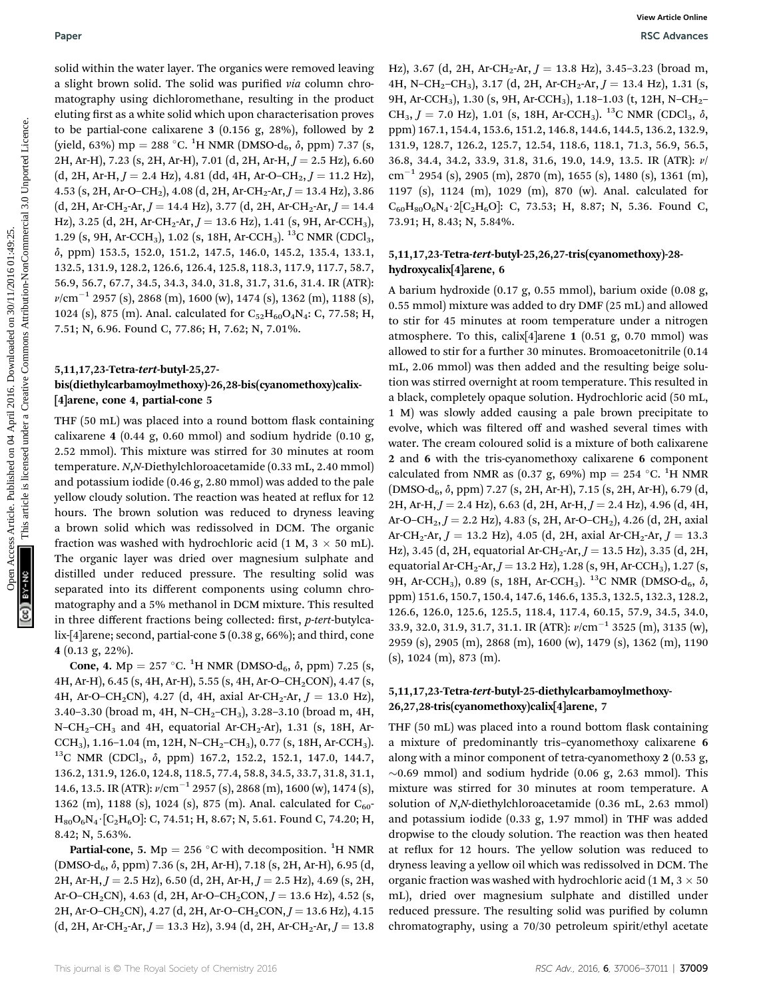solid within the water layer. The organics were removed leaving a slight brown solid. The solid was purified via column chromatography using dichloromethane, resulting in the product eluting first as a white solid which upon characterisation proves to be partial-cone calixarene 3 (0.156 g, 28%), followed by 2 (yield, 63%) mp = 288 °C. <sup>1</sup>H NMR (DMSO-d<sub>6</sub>,  $\delta$ , ppm) 7.37 (s, 2H, Ar-H), 7.23 (s, 2H, Ar-H), 7.01 (d, 2H, Ar-H,  $J = 2.5$  Hz), 6.60  $(d, 2H, Ar-H, J = 2.4 Hz)$ , 4.81 (dd, 4H, Ar-O–CH<sub>2</sub>,  $J = 11.2 Hz$ ), 4.53 (s, 2H, Ar-O–CH<sub>2</sub>), 4.08 (d, 2H, Ar-CH<sub>2</sub>-Ar,  $J = 13.4$  Hz), 3.86  $(d, 2H, Ar-CH_2-Ar, J = 14.4 Hz),$  3.77  $(d, 2H, Ar-CH_2-Ar, J = 14.4 Hz)$ Hz), 3.25 (d, 2H, Ar-CH<sub>2</sub>-Ar,  $J = 13.6$  Hz), 1.41 (s, 9H, Ar-CCH<sub>3</sub>), 1.29 (s, 9H, Ar-CCH<sub>3</sub>), 1.02 (s, 18H, Ar-CCH<sub>3</sub>). <sup>13</sup>C NMR (CDCl<sub>3</sub>, d, ppm) 153.5, 152.0, 151.2, 147.5, 146.0, 145.2, 135.4, 133.1, 132.5, 131.9, 128.2, 126.6, 126.4, 125.8, 118.3, 117.9, 117.7, 58.7, 56.9, 56.7, 67.7, 34.5, 34.3, 34.0, 31.8, 31.7, 31.6, 31.4. IR (ATR):  $\nu$ /cm<sup>-1</sup> 2957 (s), 2868 (m), 1600 (w), 1474 (s), 1362 (m), 1188 (s), 1024 (s), 875 (m). Anal. calculated for  $C_{52}H_{60}O_4N_4$ : C, 77.58; H, 7.51; N, 6.96. Found C, 77.86; H, 7.62; N, 7.01%.

#### 5,11,17,23-Tetra-tert-butyl-25,27 bis(diethylcarbamoylmethoxy)-26,28-bis(cyanomethoxy)calix- [4]arene, cone 4, partial-cone 5

THF (50 mL) was placed into a round bottom flask containing calixarene 4 (0.44 g, 0.60 mmol) and sodium hydride (0.10 g, 2.52 mmol). This mixture was stirred for 30 minutes at room temperature. N,N-Diethylchloroacetamide (0.33 mL, 2.40 mmol) and potassium iodide (0.46 g, 2.80 mmol) was added to the pale yellow cloudy solution. The reaction was heated at reflux for 12 hours. The brown solution was reduced to dryness leaving a brown solid which was redissolved in DCM. The organic fraction was washed with hydrochloric acid (1 M, 3  $\times$  50 mL). The organic layer was dried over magnesium sulphate and distilled under reduced pressure. The resulting solid was separated into its different components using column chromatography and a 5% methanol in DCM mixture. This resulted in three different fractions being collected: first,  $p$ -tert-butylcalix-[4]arene; second, partial-cone 5 (0.38 g, 66%); and third, cone 4 (0.13 g, 22%).

**Cone, 4.** Mp = 257 °C. <sup>1</sup>H NMR (DMSO-d<sub>6</sub>,  $\delta$ , ppm) 7.25 (s, 4H, Ar-H), 6.45 (s, 4H, Ar-H), 5.55 (s, 4H, Ar-O–CH<sub>2</sub>CON), 4.47 (s, 4H, Ar-O-CH<sub>2</sub>CN), 4.27 (d, 4H, axial Ar-CH<sub>2</sub>-Ar,  $J = 13.0$  Hz), 3.40–3.30 (broad m, 4H, N–CH<sub>2</sub>–CH<sub>3</sub>), 3.28–3.10 (broad m, 4H, N–CH<sub>2</sub>–CH<sub>3</sub> and 4H, equatorial Ar-CH<sub>2</sub>-Ar), 1.31 (s, 18H, Ar-CCH<sub>3</sub>), 1.16–1.04 (m, 12H, N–CH<sub>2</sub>–CH<sub>3</sub>), 0.77 (s, 18H, Ar-CCH<sub>3</sub>). <sup>13</sup>C NMR (CDCl<sub>3</sub>,  $\delta$ , ppm) 167.2, 152.2, 152.1, 147.0, 144.7, 136.2, 131.9, 126.0, 124.8, 118.5, 77.4, 58.8, 34.5, 33.7, 31.8, 31.1, 14.6, 13.5. IR (ATR):  $\nu$ /cm<sup>-1</sup> 2957 (s), 2868 (m), 1600 (w), 1474 (s), 1362 (m), 1188 (s), 1024 (s), 875 (m). Anal. calculated for  $C_{60}$  $H_{80}O_6N_4$  [C<sub>2</sub>H<sub>6</sub>O]: C, 74.51; H, 8.67; N, 5.61. Found C, 74.20; H, 8.42; N, 5.63%.

**Partial-cone, 5.** Mp = 256 °C with decomposition. <sup>1</sup>H NMR  $(DMSO-d<sub>6</sub>, \delta, ppm)$  7.36 (s, 2H, Ar-H), 7.18 (s, 2H, Ar-H), 6.95 (d, 2H, Ar-H,  $J = 2.5$  Hz), 6.50 (d, 2H, Ar-H,  $J = 2.5$  Hz), 4.69 (s, 2H, Ar-O–CH<sub>2</sub>CN), 4.63 (d, 2H, Ar-O–CH<sub>2</sub>CON,  $J = 13.6$  Hz), 4.52 (s, 2H, Ar-O–CH<sub>2</sub>CN), 4.27 (d, 2H, Ar-O–CH<sub>2</sub>CON,  $J = 13.6$  Hz), 4.15  $(d, 2H, Ar-CH<sub>2</sub>-Ar, J = 13.3 Hz), 3.94 (d, 2H, Ar-CH<sub>2</sub>-Ar, J = 13.8$  Hz), 3.67 (d, 2H, Ar-CH<sub>2</sub>-Ar,  $J = 13.8$  Hz), 3.45-3.23 (broad m, 4H, N-CH<sub>2</sub>-CH<sub>3</sub>), 3.17 (d, 2H, Ar-CH<sub>2</sub>-Ar,  $J = 13.4$  Hz), 1.31 (s, 9H, Ar-CCH<sub>3</sub>), 1.30 (s, 9H, Ar-CCH<sub>3</sub>), 1.18-1.03 (t, 12H, N-CH<sub>2</sub>-CH<sub>3</sub>,  $J = 7.0$  Hz), 1.01 (s, 18H, Ar-CCH<sub>3</sub>). <sup>13</sup>C NMR (CDCl<sub>3</sub>,  $\delta$ , ppm) 167.1, 154.4, 153.6, 151.2, 146.8, 144.6, 144.5, 136.2, 132.9, 131.9, 128.7, 126.2, 125.7, 12.54, 118.6, 118.1, 71.3, 56.9, 56.5, 36.8, 34.4, 34.2, 33.9, 31.8, 31.6, 19.0, 14.9, 13.5. IR (ATR): n/  $\text{cm}^{-1}$  2954 (s), 2905 (m), 2870 (m), 1655 (s), 1480 (s), 1361 (m), 1197 (s), 1124 (m), 1029 (m), 870 (w). Anal. calculated for  $C_{60}H_{80}O_6N_4 \cdot 2[C_2H_6O]$ : C, 73.53; H, 8.87; N, 5.36. Found C, 73.91; H, 8.43; N, 5.84%.

#### 5,11,17,23-Tetra-tert-butyl-25,26,27-tris(cyanomethoxy)-28 hydroxycalix[4]arene, 6

A barium hydroxide (0.17 g, 0.55 mmol), barium oxide (0.08 g, 0.55 mmol) mixture was added to dry DMF (25 mL) and allowed to stir for 45 minutes at room temperature under a nitrogen atmosphere. To this, calix[4]arene 1 (0.51 g, 0.70 mmol) was allowed to stir for a further 30 minutes. Bromoacetonitrile (0.14 mL, 2.06 mmol) was then added and the resulting beige solution was stirred overnight at room temperature. This resulted in a black, completely opaque solution. Hydrochloric acid (50 mL, 1 M) was slowly added causing a pale brown precipitate to evolve, which was filtered off and washed several times with water. The cream coloured solid is a mixture of both calixarene 2 and 6 with the tris-cyanomethoxy calixarene 6 component calculated from NMR as (0.37 g, 69%) mp = 254 °C. <sup>1</sup>H NMR (DMSO-d<sub>6</sub>, δ, ppm) 7.27 (s, 2H, Ar-H), 7.15 (s, 2H, Ar-H), 6.79 (d, 2H, Ar-H,  $J = 2.4$  Hz), 6.63 (d, 2H, Ar-H,  $J = 2.4$  Hz), 4.96 (d, 4H, Ar-O–CH<sub>2</sub>,  $J = 2.2$  Hz), 4.83 (s, 2H, Ar-O–CH<sub>2</sub>), 4.26 (d, 2H, axial Ar-CH<sub>2</sub>-Ar,  $J = 13.2$  Hz), 4.05 (d, 2H, axial Ar-CH<sub>2</sub>-Ar,  $J = 13.3$ Hz), 3.45 (d, 2H, equatorial Ar-CH<sub>2</sub>-Ar,  $J = 13.5$  Hz), 3.35 (d, 2H, equatorial Ar-CH<sub>2</sub>-Ar,  $J = 13.2$  Hz), 1.28 (s, 9H, Ar-CCH<sub>3</sub>), 1.27 (s, 9H, Ar-CCH<sub>3</sub>), 0.89 (s, 18H, Ar-CCH<sub>3</sub>). <sup>13</sup>C NMR (DMSO-d<sub>6</sub>,  $\delta$ , ppm) 151.6, 150.7, 150.4, 147.6, 146.6, 135.3, 132.5, 132.3, 128.2, 126.6, 126.0, 125.6, 125.5, 118.4, 117.4, 60.15, 57.9, 34.5, 34.0, 33.9, 32.0, 31.9, 31.7, 31.1. IR (ATR):  $\nu$ /cm<sup>-1</sup> 3525 (m), 3135 (w), 2959 (s), 2905 (m), 2868 (m), 1600 (w), 1479 (s), 1362 (m), 1190 (s), 1024 (m), 873 (m). Paper<br>
Solution the scale stage. The originals were removed besiton this  $\frac{1}{2}$  (A,  $\frac{1}{2}$  (A,  $\frac{1}{2}$  (A,  $\frac{1}{2}$  (A,  $\frac{1}{2}$  (A,  $\frac{1}{2}$  (A,  $\frac{1}{2}$  (A,  $\frac{1}{2}$  (A,  $\frac{1}{2}$  (A,  $\frac{1}{2}$  (A,  $\frac{1}{2}$ 

#### 5,11,17,23-Tetra-tert-butyl-25-diethylcarbamoylmethoxy-26,27,28-tris(cyanomethoxy)calix[4]arene, 7

THF (50 mL) was placed into a round bottom flask containing a mixture of predominantly tris–cyanomethoxy calixarene 6 along with a minor component of tetra-cyanomethoxy 2 (0.53 g,  $\sim$ 0.69 mmol) and sodium hydride (0.06 g, 2.63 mmol). This mixture was stirred for 30 minutes at room temperature. A solution of N,N-diethylchloroacetamide (0.36 mL, 2.63 mmol) and potassium iodide (0.33 g, 1.97 mmol) in THF was added dropwise to the cloudy solution. The reaction was then heated at reflux for 12 hours. The yellow solution was reduced to dryness leaving a yellow oil which was redissolved in DCM. The organic fraction was washed with hydrochloric acid (1 M, 3  $\times$  50 mL), dried over magnesium sulphate and distilled under reduced pressure. The resulting solid was purified by column chromatography, using a 70/30 petroleum spirit/ethyl acetate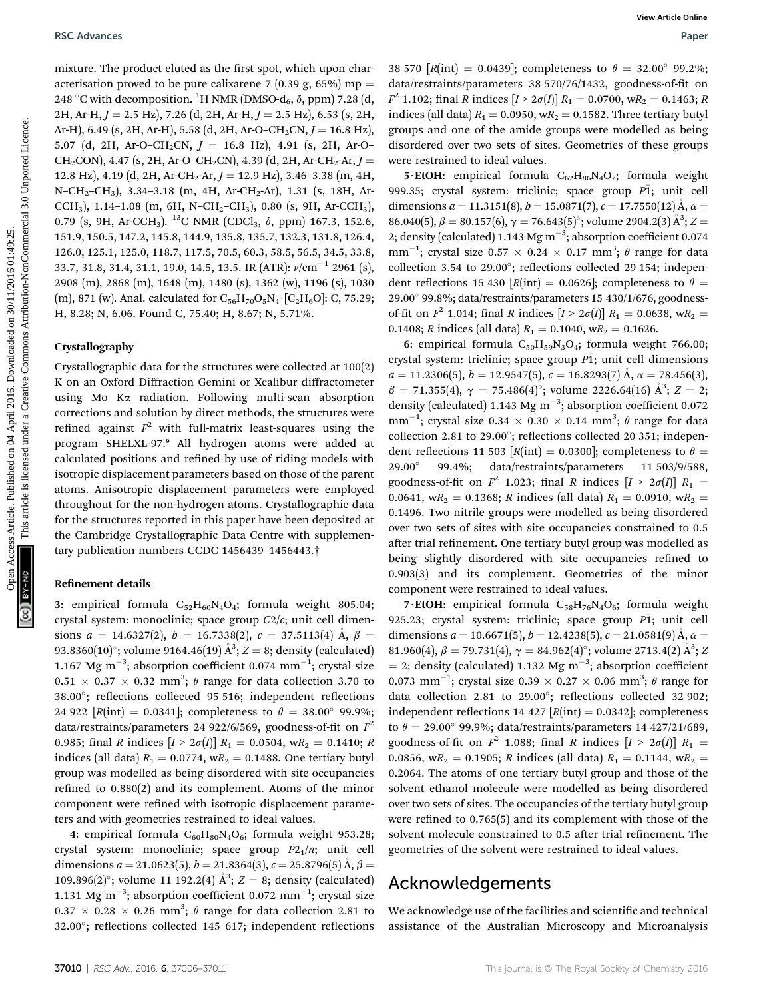mixture. The product eluted as the first spot, which upon characterisation proved to be pure calixarene 7 (0.39 g, 65%) mp = 248 °C with decomposition. <sup>1</sup>H NMR (DMSO-d<sub>6</sub>,  $\delta$ , ppm) 7.28 (d, 2H, Ar-H,  $J = 2.5$  Hz), 7.26 (d, 2H, Ar-H,  $J = 2.5$  Hz), 6.53 (s, 2H, Ar-H), 6.49 (s, 2H, Ar-H), 5.58 (d, 2H, Ar-O–CH<sub>2</sub>CN,  $J = 16.8$  Hz), 5.07 (d, 2H, Ar-O–CH<sub>2</sub>CN,  $J = 16.8$  Hz), 4.91 (s, 2H, Ar-O– CH<sub>2</sub>CON), 4.47 (s, 2H, Ar-O–CH<sub>2</sub>CN), 4.39 (d, 2H, Ar-CH<sub>2</sub>-Ar,  $J =$ 12.8 Hz), 4.19 (d, 2H, Ar-CH<sub>2</sub>-Ar,  $J = 12.9$  Hz), 3.46–3.38 (m, 4H, N-CH<sub>2</sub>-CH<sub>3</sub>), 3.34-3.18 (m, 4H, Ar-CH<sub>2</sub>-Ar), 1.31 (s, 18H, Ar-CCH<sub>3</sub>), 1.14-1.08 (m, 6H, N-CH<sub>2</sub>-CH<sub>3</sub>), 0.80 (s, 9H, Ar-CCH<sub>3</sub>), 0.79 (s, 9H, Ar-CCH<sub>3</sub>).<sup>13</sup>C NMR (CDCl<sub>3</sub>, δ, ppm) 167.3, 152.6, 151.9, 150.5, 147.2, 145.8, 144.9, 135.8, 135.7, 132.3, 131.8, 126.4, 126.0, 125.1, 125.0, 118.7, 117.5, 70.5, 60.3, 58.5, 56.5, 34.5, 33.8, 33.7, 31.8, 31.4, 31.1, 19.0, 14.5, 13.5. IR (ATR):  $\nu$ /cm<sup>-1</sup> 2961 (s), 2908 (m), 2868 (m), 1648 (m), 1480 (s), 1362 (w), 1196 (s), 1030 (m), 871 (w). Anal. calculated for  $C_{56}H_{70}O_5N_4 \cdot [C_2H_6O]: C$ , 75.29; H, 8.28; N, 6.06. Found C, 75.40; H, 8.67; N, 5.71%. BSC Advances Workelades Article is put, bish commonloaded on put are all articles. The commonloaded proceed of the commonloaded proceed of the commonloaded proceed on 2017 (141, 2016) and 30/11/2016 01:49:25. The commonlo

#### Crystallography

Crystallographic data for the structures were collected at 100(2) K on an Oxford Diffraction Gemini or Xcalibur diffractometer using Mo Ka radiation. Following multi-scan absorption corrections and solution by direct methods, the structures were refined against  $F^2$  with full-matrix least-squares using the program SHELXL-97.<sup>9</sup> All hydrogen atoms were added at calculated positions and refined by use of riding models with isotropic displacement parameters based on those of the parent atoms. Anisotropic displacement parameters were employed throughout for the non-hydrogen atoms. Crystallographic data for the structures reported in this paper have been deposited at the Cambridge Crystallographic Data Centre with supplementary publication numbers CCDC 1456439–1456443.†

#### Refinement details

3: empirical formula  $C_{52}H_{60}N_4O_4$ ; formula weight 805.04; crystal system: monoclinic; space group C2/c; unit cell dimensions  $a = 14.6327(2)$ ,  $b = 16.7338(2)$ ,  $c = 37.5113(4)$   $\AA$ ,  $\beta =$ 93.8360(10)°; volume 9164.46(19) Å $3$ ; Z = 8; density (calculated) 1.167 Mg m<sup>-3</sup>; absorption coefficient 0.074 mm<sup>-1</sup>; crystal size  $0.51 \times 0.37 \times 0.32$  mm<sup>3</sup>;  $\theta$  range for data collection 3.70 to  $38.00^\circ$ ; reflections collected 95 516; independent reflections 24 922  $[R(int) = 0.0341]$ ; completeness to  $\theta = 38.00^{\circ}$  99.9%; data/restraints/parameters 24 922/6/569, goodness-of-fit on  $F^2$ 0.985; final R indices  $[I > 2\sigma(I)] R_1 = 0.0504$ , wR<sub>2</sub> = 0.1410; R indices (all data)  $R_1 = 0.0774$ , w $R_2 = 0.1488$ . One tertiary butyl group was modelled as being disordered with site occupancies refined to  $0.880(2)$  and its complement. Atoms of the minor component were refined with isotropic displacement parameters and with geometries restrained to ideal values.

4: empirical formula  $C_{60}H_{80}N_4O_6$ ; formula weight 953.28; crystal system: monoclinic; space group  $P2_1/n$ ; unit cell dimensions  $a = 21.0623(5)$ ,  $b = 21.8364(3)$ ,  $c = 25.8796(5)$  Å,  $\beta =$ 109.896(2)°; volume 11 192.2(4)  $A^3$ ;  $Z = 8$ ; density (calculated) 1.131 Mg m<sup>-3</sup>; absorption coefficient 0.072 mm<sup>-1</sup>; crystal size  $0.37 \times 0.28 \times 0.26$  mm<sup>3</sup>;  $\theta$  range for data collection 2.81 to 32.00°; reflections collected 145 617; independent reflections

38 570 [R(int) = 0.0439]; completeness to  $\theta = 32.00^{\circ}$  99.2%; data/restraints/parameters 38 570/76/1432, goodness-of-fit on  $F^2$  1.102; final R indices  $[I > 2\sigma(I)] R_1 = 0.0700$ , w $R_2 = 0.1463$ ; R indices (all data)  $R_1 = 0.0950$ , w $R_2 = 0.1582$ . Three tertiary butyl groups and one of the amide groups were modelled as being disordered over two sets of sites. Geometries of these groups were restrained to ideal values.

5 EtOH: empirical formula  $C_{62}H_{86}N_4O_7$ ; formula weight 999.35; crystal system: triclinic; space group  $\overline{P1}$ ; unit cell dimensions  $a = 11.3151(8)$ ,  $b = 15.0871(7)$ ,  $c = 17.7550(12)$  Å,  $\alpha =$ 86.040(5),  $\beta = 80.157(6)$ ,  $\gamma = 76.643(5)^\circ$ ; volume 2904.2(3)  $\AA^3$ ; Z = 2; density (calculated) 1.143 Mg m<sup>-3</sup>; absorption coefficient 0.074 mm<sup>-1</sup>; crystal size  $0.57 \times 0.24 \times 0.17$  mm<sup>3</sup>;  $\theta$  range for data collection 3.54 to 29.00 $^{\circ}$ ; reflections collected 29 154; independent reflections 15 430 [R(int) = 0.0626]; completeness to  $\theta$  = 29.00 99.8%; data/restraints/parameters 15 430/1/676, goodnessof-fit on  $F^2$  1.014; final R indices  $[I > 2\sigma(I)] R_1 = 0.0638$ , wR<sub>2</sub> = 0.1408; R indices (all data)  $R_1 = 0.1040$ , w $R_2 = 0.1626$ .

6: empirical formula  $C_{50}H_{59}N_3O_4$ ; formula weight 766.00; crystal system: triclinic; space group  $\overline{PI}$ ; unit cell dimensions  $a = 11.2306(5)$ ,  $b = 12.9547(5)$ ,  $c = 16.8293(7)$  Å,  $\alpha = 78.456(3)$ ,  $\beta = 71.355(4)$ ,  $\gamma = 75.486(4)$ °; volume 2226.64(16)  $\AA$ <sup>3</sup>;  $Z = 2$ ; density (calculated) 1.143 Mg  $m^{-3}$ ; absorption coefficient 0.072 mm<sup>-1</sup>; crystal size  $0.34 \times 0.30 \times 0.14$  mm<sup>3</sup>;  $\theta$  range for data collection 2.81 to 29.00 $^{\circ}$ ; reflections collected 20 351; independent reflections 11 503 [*R*(int) = 0.0300]; completeness to  $\theta$  = 29.00° 99.4%; data/restraints/parameters 11 503/9/588, data/restraints/parameters 11 503/9/588, goodness-of-fit on  $F^2$  1.023; final R indices  $[I > 2\sigma(I)]$   $R_1$  = 0.0641, wR<sub>2</sub> = 0.1368; R indices (all data)  $R_1 = 0.0910$ , wR<sub>2</sub> = 0.1496. Two nitrile groups were modelled as being disordered over two sets of sites with site occupancies constrained to 0.5 after trial refinement. One tertiary butyl group was modelled as being slightly disordered with site occupancies refined to 0.903(3) and its complement. Geometries of the minor component were restrained to ideal values.

7 EtOH: empirical formula  $C_{58}H_{76}N_4O_6$ ; formula weight 925.23; crystal system: triclinic; space group  $\overline{P1}$ ; unit cell dimensions  $a = 10.6671(5)$ ,  $b = 12.4238(5)$ ,  $c = 21.0581(9)$  Å,  $\alpha =$ 81.960(4),  $\beta = 79.731(4)$ ,  $\gamma = 84.962(4)^\circ$ ; volume 2713.4(2)  $\mathring{A}^3$ ; Z = 2; density (calculated) 1.132 Mg  $\text{m}^{-3}$ ; absorption coefficient 0.073 mm<sup>-1</sup>; crystal size 0.39  $\times$  0.27  $\times$  0.06 mm<sup>3</sup>;  $\theta$  range for data collection 2.81 to 29.00°; reflections collected 32 902; independent reflections 14 427  $[R(int) = 0.0342]$ ; completeness to  $\theta = 29.00^{\circ}$  99.9%; data/restraints/parameters 14 427/21/689, goodness-of-fit on  $F^2$  1.088; final R indices  $[I > 2\sigma(I)]$   $R_1 =$ 0.0856, wR<sub>2</sub> = 0.1905; R indices (all data)  $R_1 = 0.1144$ , wR<sub>2</sub> = 0.2064. The atoms of one tertiary butyl group and those of the solvent ethanol molecule were modelled as being disordered over two sets of sites. The occupancies of the tertiary butyl group were refined to  $0.765(5)$  and its complement with those of the solvent molecule constrained to 0.5 after trial refinement. The geometries of the solvent were restrained to ideal values.

### Acknowledgements

We acknowledge use of the facilities and scientific and technical assistance of the Australian Microscopy and Microanalysis